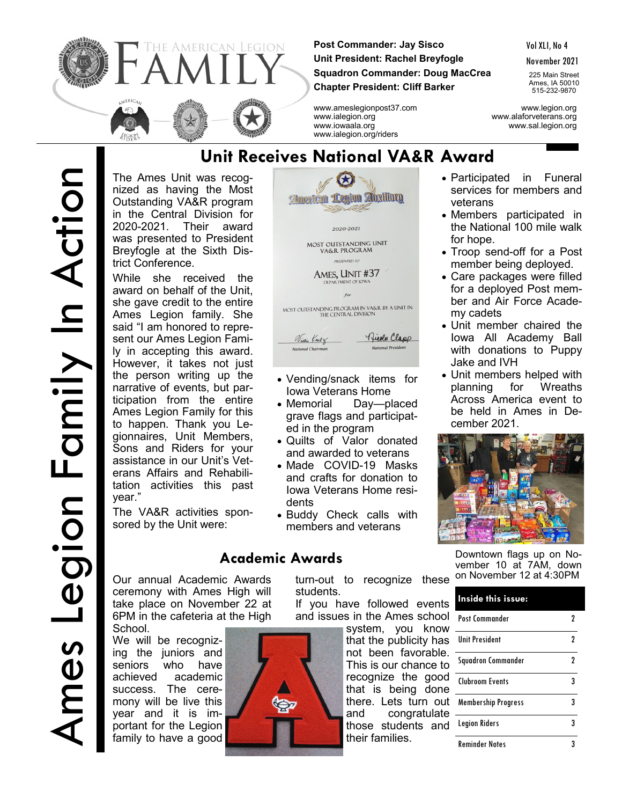

**Post Commander: Jay Sisco Unit President: Rachel Breyfogle Squadron Commander: Doug MacCrea Chapter President: Cliff Barker**

www.ialegion.org/riders

**American Legion Absiliary** 

2020-2021 MOST OUTSTANDING UNIT<br>VA&R PROGRAM **PRESENTED TO** AMES, UNIT #37 DEPARTMENT OF IC

Vol XLI, No 4

November 2021

225 Main Street Ames, IA 50010 515-232-9870

www.ameslegionpost37.com www.legion.org www.alaforveterans.org www.iowaala.org www.sal.legion.org

The Ames Unit was recognized as having the Most Outstanding VA&R program in the Central Division for 2020-2021. Their award was presented to President Breyfogle at the Sixth Dis-**Unit Receives National VA&R Award**

trict Conference. While she received the award on behalf of the Unit, she gave credit to the entire Ames Legion family. She said "I am honored to represent our Ames Legion Family in accepting this award. However, it takes not just the person writing up the narrative of events, but participation from the entire Ames Legion Family for this to happen. Thank you Legionnaires, Unit Members, Sons and Riders for your assistance in our Unit's Veterans Affairs and Rehabilitation activities this past year."

The VA&R activities sponsored by the Unit were:

Our annual Academic Awards ceremony with Ames High will take place on November 22 at 6PM in the cafeteria at the High School.

We will be recognizing the juniors and seniors who have achieved academic success. The ceremony will be live this year and it is important for the Legion family to have a good



## **Academic Awards**

turn-out to recognize these students.

If you have followed events and issues in the Ames school

system, you know that the publicity has not been favorable. This is our chance to recognize the good that is being done there. Lets turn out and congratulate those students and their families.

- Participated in Funeral services for members and veterans
- Members participated in the National 100 mile walk for hope.
- Troop send-off for a Post member being deployed.
- Care packages were filled for a deployed Post member and Air Force Academy cadets
- Unit member chaired the Iowa All Academy Ball with donations to Puppy Jake and IVH
- Unit members helped with planning for Wreaths Across America event to be held in Ames in December 2021.



Downtown flags up on November 10 at 7AM, down on November 12 at 4:30PM

| Inside this issue:         |   |
|----------------------------|---|
| Post Commander             |   |
| <b>Unit President</b>      | 2 |
| <b>Squadron Commander</b>  | 2 |
| Cluhroom Events            | 3 |
| <b>Membership Progress</b> | 3 |
| <b>Legion Riders</b>       | 3 |
| Reminder Notes             |   |

- Quilts of Valor donated and awarded to veterans
- Made COVID-19 Masks and crafts for donation to Iowa Veterans Home resi-
- Buddy Check calls with members and veterans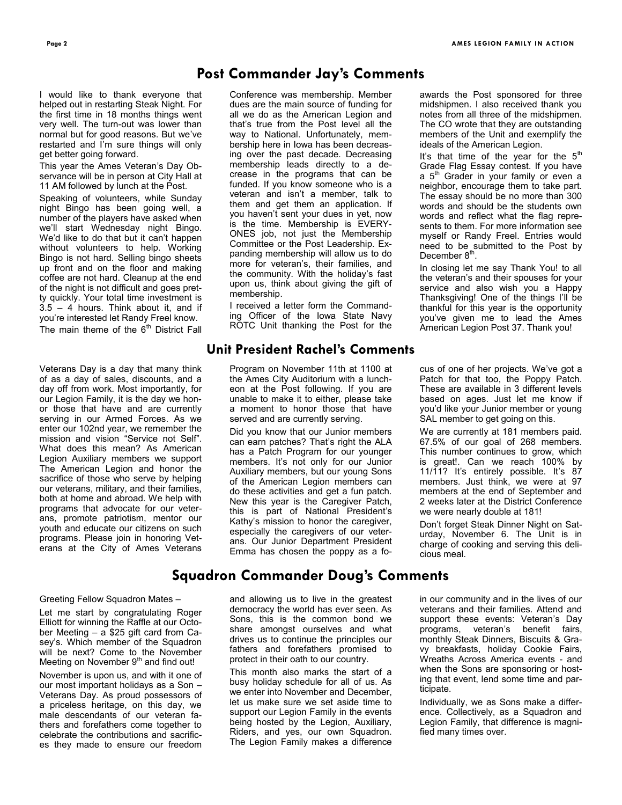I would like to thank everyone that helped out in restarting Steak Night. For the first time in 18 months things went very well. The turn-out was lower than normal but for good reasons. But we've restarted and I'm sure things will only get better going forward.

This year the Ames Veteran's Day Observance will be in person at City Hall at 11 AM followed by lunch at the Post.

Speaking of volunteers, while Sunday night Bingo has been going well, a number of the players have asked when we'll start Wednesday night Bingo. We'd like to do that but it can't happen without volunteers to help. Working Bingo is not hard. Selling bingo sheets up front and on the floor and making coffee are not hard. Cleanup at the end of the night is not difficult and goes pretty quickly. Your total time investment is 3.5 – 4 hours. Think about it, and if you're interested let Randy Freel know. The main theme of the  $6<sup>th</sup>$  District Fall

Veterans Day is a day that many think of as a day of sales, discounts, and a day off from work. Most importantly, for our Legion Family, it is the day we honor those that have and are currently serving in our Armed Forces. As we enter our 102nd year, we remember the mission and vision "Service not Self". What does this mean? As American Legion Auxiliary members we support The American Legion and honor the sacrifice of those who serve by helping our veterans, military, and their families, both at home and abroad. We help with programs that advocate for our veterans, promote patriotism, mentor our youth and educate our citizens on such programs. Please join in honoring Veterans at the City of Ames Veterans

### Greeting Fellow Squadron Mates –

Let me start by congratulating Roger Elliott for winning the Raffle at our October Meeting – a \$25 gift card from Casey's. Which member of the Squadron will be next? Come to the November Meeting on November  $9<sup>th</sup>$  and find out!

November is upon us, and with it one of our most important holidays as a Son – Veterans Day. As proud possessors of a priceless heritage, on this day, we male descendants of our veteran fathers and forefathers come together to celebrate the contributions and sacrifices they made to ensure our freedom

## **Post Commander Jay's Comments**

Conference was membership. Member dues are the main source of funding for all we do as the American Legion and that's true from the Post level all the way to National. Unfortunately, membership here in Iowa has been decreasing over the past decade. Decreasing membership leads directly to a decrease in the programs that can be funded. If you know someone who is a veteran and isn't a member, talk to them and get them an application. If you haven't sent your dues in yet, now is the time. Membership is EVERY-ONES job, not just the Membership Committee or the Post Leadership. Expanding membership will allow us to do more for veteran's, their families, and the community. With the holiday's fast upon us, think about giving the gift of membership.

I received a letter form the Commanding Officer of the Iowa State Navy ROTC Unit thanking the Post for the

### **Unit President Rachel's Comments**

Program on November 11th at 1100 at the Ames City Auditorium with a luncheon at the Post following. If you are unable to make it to either, please take a moment to honor those that have served and are currently serving.

Did you know that our Junior members can earn patches? That's right the ALA has a Patch Program for our younger members. It's not only for our Junior Auxiliary members, but our young Sons of the American Legion members can do these activities and get a fun patch. New this year is the Caregiver Patch, this is part of National President's Kathy's mission to honor the caregiver, especially the caregivers of our veterans. Our Junior Department President Emma has chosen the poppy as a fo-

awards the Post sponsored for three midshipmen. I also received thank you notes from all three of the midshipmen. The CO wrote that they are outstanding members of the Unit and exemplify the ideals of the American Legion.

It's that time of the year for the  $5<sup>th</sup>$ Grade Flag Essay contest. If you have a 5<sup>th</sup> Grader in your family or even a neighbor, encourage them to take part. The essay should be no more than 300 words and should be the students own words and reflect what the flag represents to them. For more information see myself or Randy Freel. Entries would need to be submitted to the Post by December 8<sup>th</sup>.

In closing let me say Thank You! to all the veteran's and their spouses for your service and also wish you a Happy Thanksgiving! One of the things I'll be thankful for this year is the opportunity you've given me to lead the Ames American Legion Post 37. Thank you!

cus of one of her projects. We've got a Patch for that too, the Poppy Patch. These are available in 3 different levels based on ages. Just let me know if you'd like your Junior member or young SAL member to get going on this.

We are currently at 181 members paid. 67.5% of our goal of 268 members. This number continues to grow, which is great!. Can we reach 100% by 11/11? It's entirely possible. It's 87 members. Just think, we were at 97 members at the end of September and 2 weeks later at the District Conference we were nearly double at 181!

Don't forget Steak Dinner Night on Saturday, November 6. The Unit is in charge of cooking and serving this delicious meal.

### **Squadron Commander Doug's Comments**

and allowing us to live in the greatest democracy the world has ever seen. As Sons, this is the common bond we share amongst ourselves and what drives us to continue the principles our fathers and forefathers promised to protect in their oath to our country.

This month also marks the start of a busy holiday schedule for all of us. As we enter into November and December, let us make sure we set aside time to support our Legion Family in the events being hosted by the Legion, Auxiliary, Riders, and yes, our own Squadron. The Legion Family makes a difference in our community and in the lives of our veterans and their families. Attend and support these events: Veteran's Day programs, veteran's benefit fairs, monthly Steak Dinners, Biscuits & Gravy breakfasts, holiday Cookie Fairs, Wreaths Across America events - and when the Sons are sponsoring or hosting that event, lend some time and participate.

Individually, we as Sons make a difference. Collectively, as a Squadron and Legion Family, that difference is magnified many times over.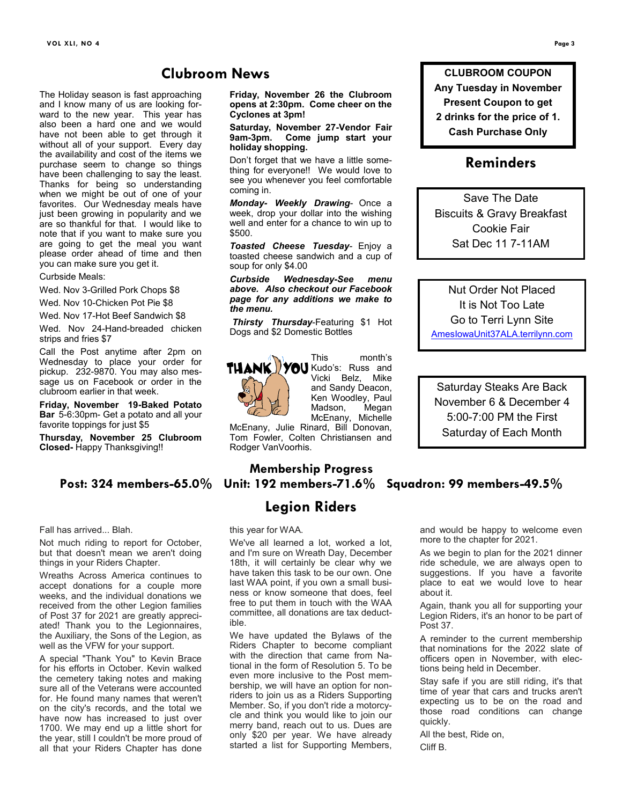### **Clubroom News**

The Holiday season is fast approaching and I know many of us are looking forward to the new year. This year has also been a hard one and we would have not been able to get through it without all of your support. Every day the availability and cost of the items we purchase seem to change so things have been challenging to say the least. Thanks for being so understanding when we might be out of one of your favorites. Our Wednesday meals have just been growing in popularity and we are so thankful for that. I would like to note that if you want to make sure you are going to get the meal you want please order ahead of time and then you can make sure you get it.

### Curbside Meals:

Wed. Nov 3-Grilled Pork Chops \$8

Wed. Nov 10-Chicken Pot Pie \$8

Wed. Nov 17-Hot Beef Sandwich \$8 Wed. Nov 24-Hand-breaded chicken strips and fries \$7

Call the Post anytime after 2pm on Wednesday to place your order for pickup. 232-9870. You may also message us on Facebook or order in the clubroom earlier in that week.

**Friday, November 19-Baked Potato Bar** 5-6:30pm- Get a potato and all your favorite toppings for just \$5

**Thursday, November 25 Clubroom Closed-** Happy Thanksgiving!!

Fall has arrived... Blah.

Not much riding to report for October, but that doesn't mean we aren't doing things in your Riders Chapter.

Wreaths Across America continues to accept donations for a couple more weeks, and the individual donations we received from the other Legion families of Post 37 for 2021 are greatly appreciated! Thank you to the Legionnaires, the Auxiliary, the Sons of the Legion, as well as the VFW for your support.

A special "Thank You" to Kevin Brace for his efforts in October. Kevin walked the cemetery taking notes and making sure all of the Veterans were accounted for. He found many names that weren't on the city's records, and the total we have now has increased to just over 1700. We may end up a little short for the year, still I couldn't be more proud of all that your Riders Chapter has done

**Friday, November 26 the Clubroom opens at 2:30pm. Come cheer on the Cyclones at 3pm!**

**Saturday, November 27-Vendor Fair 9am-3pm. Come jump start your holiday shopping.**

Don't forget that we have a little something for everyone!! We would love to see you whenever you feel comfortable coming in.

*Monday- Weekly Drawing*- Once a week, drop your dollar into the wishing well and enter for a chance to win up to \$500.

*Toasted Cheese Tuesday-* Enjoy a toasted cheese sandwich and a cup of soup for only \$4.00

*Curbside Wednesday-See menu above. Also checkout our Facebook page for any additions we make to the menu.*

*Thirsty Thursday*-Featuring \$1 Hot Dogs and \$2 Domestic Bottles



This month's Kudo's: Russ and Vicki Belz, Mike and Sandy Deacon, Ken Woodley, Paul<br>Madson, Megan Madson, McEnany, Michelle

McEnany, Julie Rinard, Bill Donovan, Tom Fowler, Colten Christiansen and Rodger VanVoorhis.

### **Membership Progress Post: 324 members-65.0% Unit: 192 members-71.6% Squadron: 99 members-49.5%**

### **Legion Riders**

this year for WAA.

We've all learned a lot, worked a lot, and I'm sure on Wreath Day, December 18th, it will certainly be clear why we have taken this task to be our own. One last WAA point, if you own a small business or know someone that does, feel free to put them in touch with the WAA committee, all donations are tax deductible.

We have updated the Bylaws of the Riders Chapter to become compliant with the direction that came from National in the form of Resolution 5. To be even more inclusive to the Post membership, we will have an option for nonriders to join us as a Riders Supporting Member. So, if you don't ride a motorcycle and think you would like to join our merry band, reach out to us. Dues are only \$20 per year. We have already started a list for Supporting Members, and would be happy to welcome even more to the chapter for 2021.

As we begin to plan for the 2021 dinner ride schedule, we are always open to suggestions. If you have a favorite place to eat we would love to hear about it.

Again, thank you all for supporting your Legion Riders, it's an honor to be part of Post 37.

A reminder to the current membership that nominations for the 2022 slate of officers open in November, with elections being held in December.

Stay safe if you are still riding, it's that time of year that cars and trucks aren't expecting us to be on the road and those road conditions can change quickly.

All the best, Ride on,

Cliff B.

**CLUBROOM COUPON Any Tuesday in November Present Coupon to get 2 drinks for the price of 1. Cash Purchase Only**

### **Reminders**

Save The Date Biscuits & Gravy Breakfast Cookie Fair Sat Dec 11 7-11AM

Nut Order Not Placed It is Not Too Late Go to Terri Lynn Site [AmesIowaUnit37ALA.terrilynn.com](https://amesiowaunit37ala.terrilynn.com/)

Saturday Steaks Are Back November 6 & December 4 5:00-7:00 PM the First Saturday of Each Month